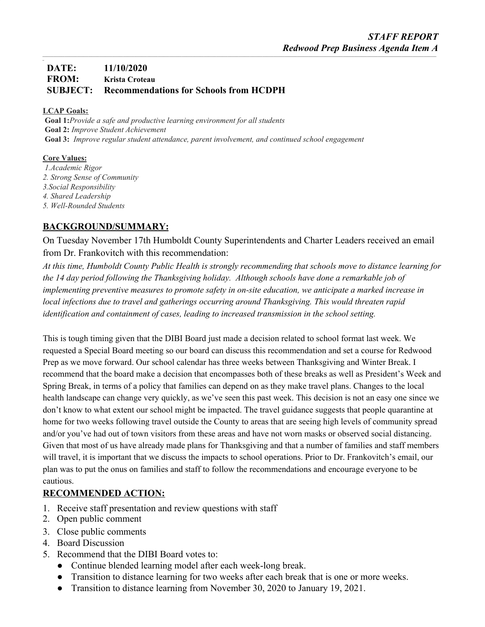#### *\_* **DATE: 11/10/2020 FROM: Krista Croteau SUBJECT: Recommendations for Schools from HCDPH**

#### **LCAP Goals:**

**Goal 1:***Provide a safe and productive learning environment for all students* **Goal 2:** *Improve Student Achievement* **Goal 3:** *Improve regular student attendance, parent involvement, and continued school engagement*

### **Core Values:**

*1.Academic Rigor 2. Strong Sense of Community 3.Social Responsibility 4. Shared Leadership 5. Well-Rounded Students*

# **BACKGROUND/SUMMARY:**

On Tuesday November 17th Humboldt County Superintendents and Charter Leaders received an email from Dr. Frankovitch with this recommendation:

At this time, Humboldt County Public Health is strongly recommending that schools move to distance learning for *the 14 day period following the Thanksgiving holiday. Although schools have done a remarkable job of implementing preventive measures to promote safety in on-site education, we anticipate a marked increase in local infections due to travel and gatherings occurring around Thanksgiving. This would threaten rapid identification and containment of cases, leading to increased transmission in the school setting.*

This is tough timing given that the DIBI Board just made a decision related to school format last week. We requested a Special Board meeting so our board can discuss this recommendation and set a course for Redwood Prep as we move forward. Our school calendar has three weeks between Thanksgiving and Winter Break. I recommend that the board make a decision that encompasses both of these breaks as well as President's Week and Spring Break, in terms of a policy that families can depend on as they make travel plans. Changes to the local health landscape can change very quickly, as we've seen this past week. This decision is not an easy one since we don't know to what extent our school might be impacted. The travel guidance suggests that people quarantine at home for two weeks following travel outside the County to areas that are seeing high levels of community spread and/or you've had out of town visitors from these areas and have not worn masks or observed social distancing. Given that most of us have already made plans for Thanksgiving and that a number of families and staff members will travel, it is important that we discuss the impacts to school operations. Prior to Dr. Frankovitch's email, our plan was to put the onus on families and staff to follow the recommendations and encourage everyone to be cautious.

### **RECOMMENDED ACTION:**

- 1. Receive staff presentation and review questions with staff
- 2. Open public comment
- 3. Close public comments
- 4. Board Discussion
- 5. Recommend that the DIBI Board votes to:
	- Continue blended learning model after each week-long break.
	- Transition to distance learning for two weeks after each break that is one or more weeks.
	- Transition to distance learning from November 30, 2020 to January 19, 2021.